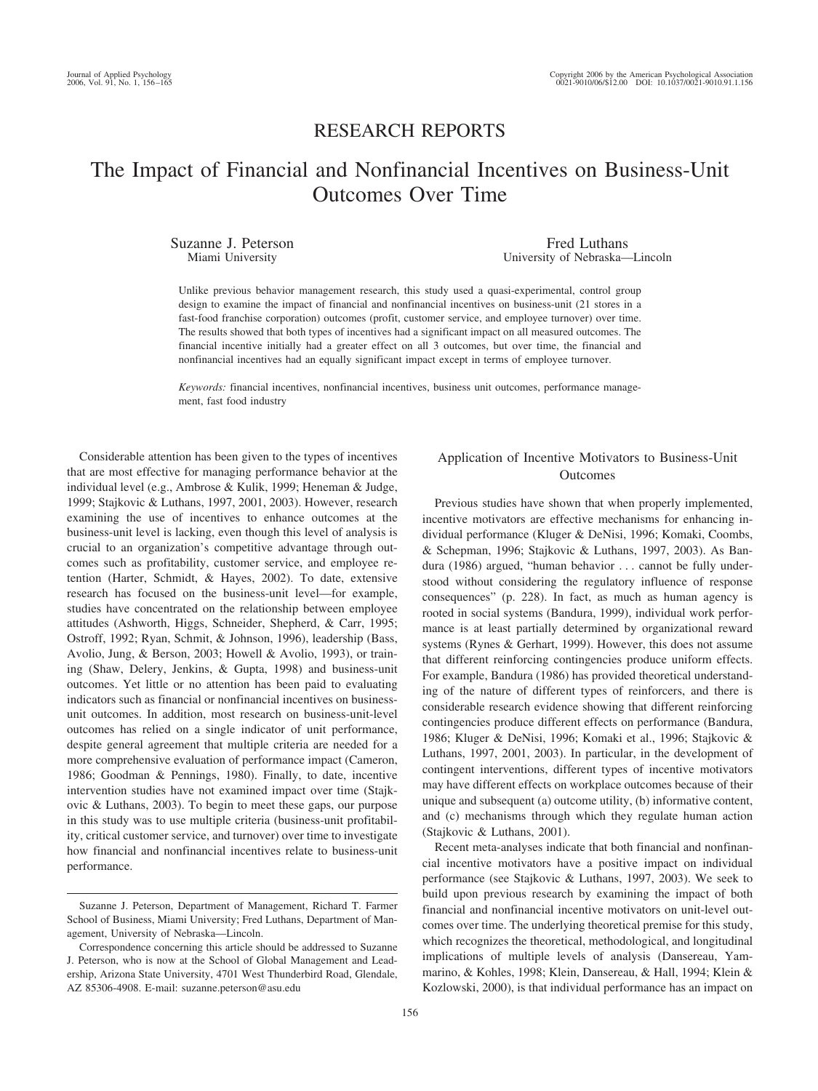# RESEARCH REPORTS

# The Impact of Financial and Nonfinancial Incentives on Business-Unit Outcomes Over Time

Suzanne J. Peterson Miami University

Fred Luthans University of Nebraska—Lincoln

Unlike previous behavior management research, this study used a quasi-experimental, control group design to examine the impact of financial and nonfinancial incentives on business-unit (21 stores in a fast-food franchise corporation) outcomes (profit, customer service, and employee turnover) over time. The results showed that both types of incentives had a significant impact on all measured outcomes. The financial incentive initially had a greater effect on all 3 outcomes, but over time, the financial and nonfinancial incentives had an equally significant impact except in terms of employee turnover.

*Keywords:* financial incentives, nonfinancial incentives, business unit outcomes, performance management, fast food industry

Considerable attention has been given to the types of incentives that are most effective for managing performance behavior at the individual level (e.g., Ambrose & Kulik, 1999; Heneman & Judge, 1999; Stajkovic & Luthans, 1997, 2001, 2003). However, research examining the use of incentives to enhance outcomes at the business-unit level is lacking, even though this level of analysis is crucial to an organization's competitive advantage through outcomes such as profitability, customer service, and employee retention (Harter, Schmidt, & Hayes, 2002). To date, extensive research has focused on the business-unit level—for example, studies have concentrated on the relationship between employee attitudes (Ashworth, Higgs, Schneider, Shepherd, & Carr, 1995; Ostroff, 1992; Ryan, Schmit, & Johnson, 1996), leadership (Bass, Avolio, Jung, & Berson, 2003; Howell & Avolio, 1993), or training (Shaw, Delery, Jenkins, & Gupta, 1998) and business-unit outcomes. Yet little or no attention has been paid to evaluating indicators such as financial or nonfinancial incentives on businessunit outcomes. In addition, most research on business-unit-level outcomes has relied on a single indicator of unit performance, despite general agreement that multiple criteria are needed for a more comprehensive evaluation of performance impact (Cameron, 1986; Goodman & Pennings, 1980). Finally, to date, incentive intervention studies have not examined impact over time (Stajkovic & Luthans, 2003). To begin to meet these gaps, our purpose in this study was to use multiple criteria (business-unit profitability, critical customer service, and turnover) over time to investigate how financial and nonfinancial incentives relate to business-unit performance.

## Application of Incentive Motivators to Business-Unit Outcomes

Previous studies have shown that when properly implemented, incentive motivators are effective mechanisms for enhancing individual performance (Kluger & DeNisi, 1996; Komaki, Coombs, & Schepman, 1996; Stajkovic & Luthans, 1997, 2003). As Bandura (1986) argued, "human behavior . . . cannot be fully understood without considering the regulatory influence of response consequences" (p. 228). In fact, as much as human agency is rooted in social systems (Bandura, 1999), individual work performance is at least partially determined by organizational reward systems (Rynes & Gerhart, 1999). However, this does not assume that different reinforcing contingencies produce uniform effects. For example, Bandura (1986) has provided theoretical understanding of the nature of different types of reinforcers, and there is considerable research evidence showing that different reinforcing contingencies produce different effects on performance (Bandura, 1986; Kluger & DeNisi, 1996; Komaki et al., 1996; Stajkovic & Luthans, 1997, 2001, 2003). In particular, in the development of contingent interventions, different types of incentive motivators may have different effects on workplace outcomes because of their unique and subsequent (a) outcome utility, (b) informative content, and (c) mechanisms through which they regulate human action (Stajkovic & Luthans, 2001).

Recent meta-analyses indicate that both financial and nonfinancial incentive motivators have a positive impact on individual performance (see Stajkovic & Luthans, 1997, 2003). We seek to build upon previous research by examining the impact of both financial and nonfinancial incentive motivators on unit-level outcomes over time. The underlying theoretical premise for this study, which recognizes the theoretical, methodological, and longitudinal implications of multiple levels of analysis (Dansereau, Yammarino, & Kohles, 1998; Klein, Dansereau, & Hall, 1994; Klein & Kozlowski, 2000), is that individual performance has an impact on

Suzanne J. Peterson, Department of Management, Richard T. Farmer School of Business, Miami University; Fred Luthans, Department of Management, University of Nebraska—Lincoln.

Correspondence concerning this article should be addressed to Suzanne J. Peterson, who is now at the School of Global Management and Leadership, Arizona State University, 4701 West Thunderbird Road, Glendale, AZ 85306-4908. E-mail: suzanne.peterson@asu.edu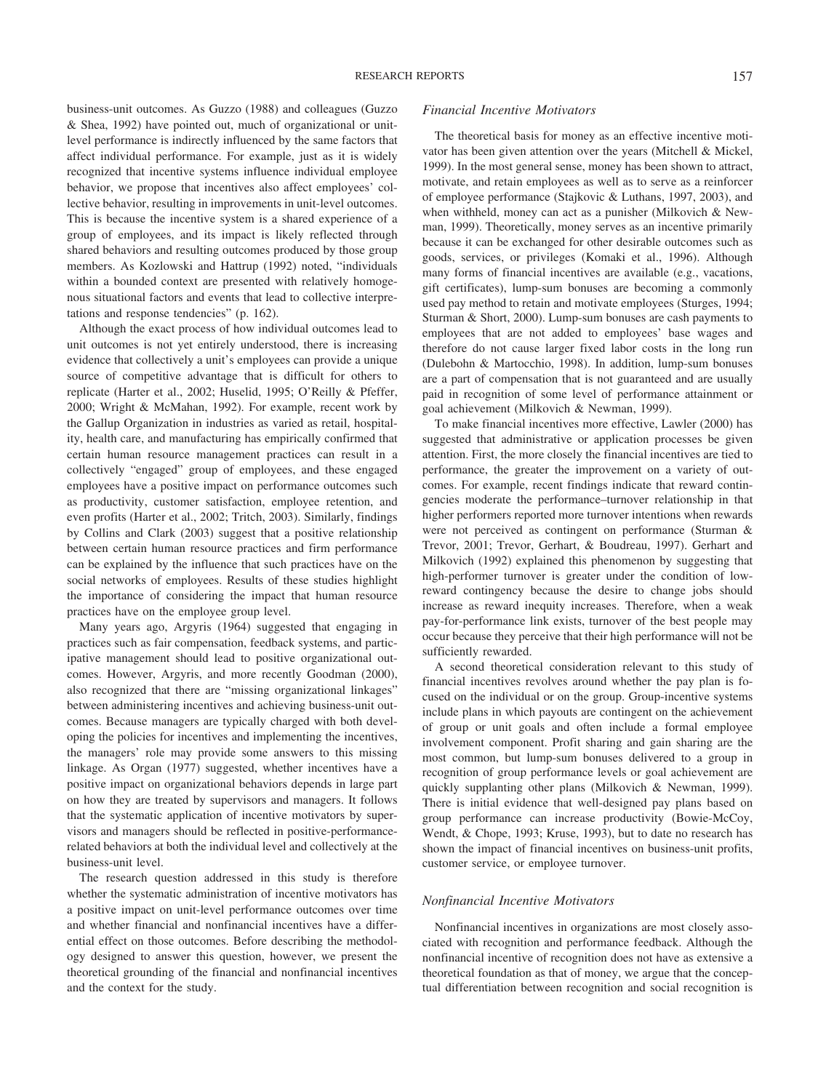business-unit outcomes. As Guzzo (1988) and colleagues (Guzzo & Shea, 1992) have pointed out, much of organizational or unitlevel performance is indirectly influenced by the same factors that affect individual performance. For example, just as it is widely recognized that incentive systems influence individual employee behavior, we propose that incentives also affect employees' collective behavior, resulting in improvements in unit-level outcomes. This is because the incentive system is a shared experience of a group of employees, and its impact is likely reflected through shared behaviors and resulting outcomes produced by those group members. As Kozlowski and Hattrup (1992) noted, "individuals within a bounded context are presented with relatively homogenous situational factors and events that lead to collective interpretations and response tendencies" (p. 162).

Although the exact process of how individual outcomes lead to unit outcomes is not yet entirely understood, there is increasing evidence that collectively a unit's employees can provide a unique source of competitive advantage that is difficult for others to replicate (Harter et al., 2002; Huselid, 1995; O'Reilly & Pfeffer, 2000; Wright & McMahan, 1992). For example, recent work by the Gallup Organization in industries as varied as retail, hospitality, health care, and manufacturing has empirically confirmed that certain human resource management practices can result in a collectively "engaged" group of employees, and these engaged employees have a positive impact on performance outcomes such as productivity, customer satisfaction, employee retention, and even profits (Harter et al., 2002; Tritch, 2003). Similarly, findings by Collins and Clark (2003) suggest that a positive relationship between certain human resource practices and firm performance can be explained by the influence that such practices have on the social networks of employees. Results of these studies highlight the importance of considering the impact that human resource practices have on the employee group level.

Many years ago, Argyris (1964) suggested that engaging in practices such as fair compensation, feedback systems, and participative management should lead to positive organizational outcomes. However, Argyris, and more recently Goodman (2000), also recognized that there are "missing organizational linkages" between administering incentives and achieving business-unit outcomes. Because managers are typically charged with both developing the policies for incentives and implementing the incentives, the managers' role may provide some answers to this missing linkage. As Organ (1977) suggested, whether incentives have a positive impact on organizational behaviors depends in large part on how they are treated by supervisors and managers. It follows that the systematic application of incentive motivators by supervisors and managers should be reflected in positive-performancerelated behaviors at both the individual level and collectively at the business-unit level.

The research question addressed in this study is therefore whether the systematic administration of incentive motivators has a positive impact on unit-level performance outcomes over time and whether financial and nonfinancial incentives have a differential effect on those outcomes. Before describing the methodology designed to answer this question, however, we present the theoretical grounding of the financial and nonfinancial incentives and the context for the study.

#### *Financial Incentive Motivators*

The theoretical basis for money as an effective incentive motivator has been given attention over the years (Mitchell & Mickel, 1999). In the most general sense, money has been shown to attract, motivate, and retain employees as well as to serve as a reinforcer of employee performance (Stajkovic & Luthans, 1997, 2003), and when withheld, money can act as a punisher (Milkovich & Newman, 1999). Theoretically, money serves as an incentive primarily because it can be exchanged for other desirable outcomes such as goods, services, or privileges (Komaki et al., 1996). Although many forms of financial incentives are available (e.g., vacations, gift certificates), lump-sum bonuses are becoming a commonly used pay method to retain and motivate employees (Sturges, 1994; Sturman & Short, 2000). Lump-sum bonuses are cash payments to employees that are not added to employees' base wages and therefore do not cause larger fixed labor costs in the long run (Dulebohn & Martocchio, 1998). In addition, lump-sum bonuses are a part of compensation that is not guaranteed and are usually paid in recognition of some level of performance attainment or goal achievement (Milkovich & Newman, 1999).

To make financial incentives more effective, Lawler (2000) has suggested that administrative or application processes be given attention. First, the more closely the financial incentives are tied to performance, the greater the improvement on a variety of outcomes. For example, recent findings indicate that reward contingencies moderate the performance–turnover relationship in that higher performers reported more turnover intentions when rewards were not perceived as contingent on performance (Sturman & Trevor, 2001; Trevor, Gerhart, & Boudreau, 1997). Gerhart and Milkovich (1992) explained this phenomenon by suggesting that high-performer turnover is greater under the condition of lowreward contingency because the desire to change jobs should increase as reward inequity increases. Therefore, when a weak pay-for-performance link exists, turnover of the best people may occur because they perceive that their high performance will not be sufficiently rewarded.

A second theoretical consideration relevant to this study of financial incentives revolves around whether the pay plan is focused on the individual or on the group. Group-incentive systems include plans in which payouts are contingent on the achievement of group or unit goals and often include a formal employee involvement component. Profit sharing and gain sharing are the most common, but lump-sum bonuses delivered to a group in recognition of group performance levels or goal achievement are quickly supplanting other plans (Milkovich & Newman, 1999). There is initial evidence that well-designed pay plans based on group performance can increase productivity (Bowie-McCoy, Wendt, & Chope, 1993; Kruse, 1993), but to date no research has shown the impact of financial incentives on business-unit profits, customer service, or employee turnover.

#### *Nonfinancial Incentive Motivators*

Nonfinancial incentives in organizations are most closely associated with recognition and performance feedback. Although the nonfinancial incentive of recognition does not have as extensive a theoretical foundation as that of money, we argue that the conceptual differentiation between recognition and social recognition is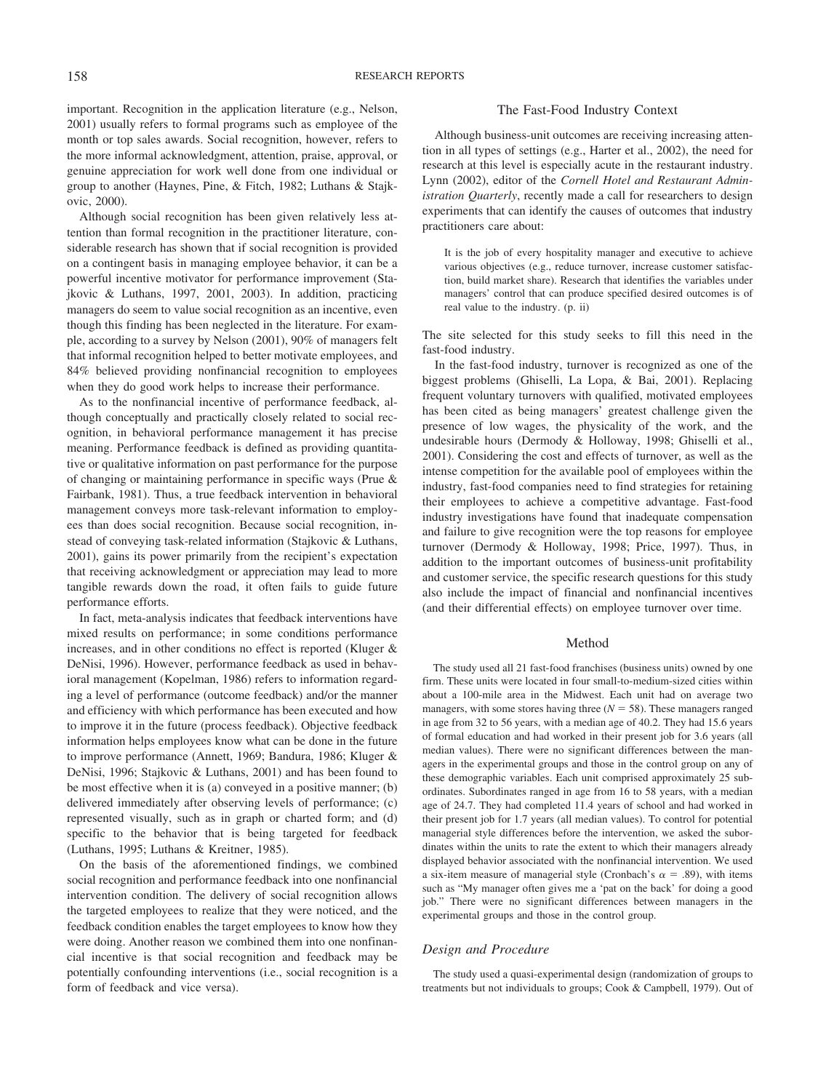important. Recognition in the application literature (e.g., Nelson, 2001) usually refers to formal programs such as employee of the month or top sales awards. Social recognition, however, refers to the more informal acknowledgment, attention, praise, approval, or genuine appreciation for work well done from one individual or group to another (Haynes, Pine, & Fitch, 1982; Luthans & Stajkovic, 2000).

Although social recognition has been given relatively less attention than formal recognition in the practitioner literature, considerable research has shown that if social recognition is provided on a contingent basis in managing employee behavior, it can be a powerful incentive motivator for performance improvement (Stajkovic & Luthans, 1997, 2001, 2003). In addition, practicing managers do seem to value social recognition as an incentive, even though this finding has been neglected in the literature. For example, according to a survey by Nelson (2001), 90% of managers felt that informal recognition helped to better motivate employees, and 84% believed providing nonfinancial recognition to employees when they do good work helps to increase their performance.

As to the nonfinancial incentive of performance feedback, although conceptually and practically closely related to social recognition, in behavioral performance management it has precise meaning. Performance feedback is defined as providing quantitative or qualitative information on past performance for the purpose of changing or maintaining performance in specific ways (Prue & Fairbank, 1981). Thus, a true feedback intervention in behavioral management conveys more task-relevant information to employees than does social recognition. Because social recognition, instead of conveying task-related information (Stajkovic & Luthans, 2001), gains its power primarily from the recipient's expectation that receiving acknowledgment or appreciation may lead to more tangible rewards down the road, it often fails to guide future performance efforts.

In fact, meta-analysis indicates that feedback interventions have mixed results on performance; in some conditions performance increases, and in other conditions no effect is reported (Kluger & DeNisi, 1996). However, performance feedback as used in behavioral management (Kopelman, 1986) refers to information regarding a level of performance (outcome feedback) and/or the manner and efficiency with which performance has been executed and how to improve it in the future (process feedback). Objective feedback information helps employees know what can be done in the future to improve performance (Annett, 1969; Bandura, 1986; Kluger & DeNisi, 1996; Stajkovic & Luthans, 2001) and has been found to be most effective when it is (a) conveyed in a positive manner; (b) delivered immediately after observing levels of performance; (c) represented visually, such as in graph or charted form; and (d) specific to the behavior that is being targeted for feedback (Luthans, 1995; Luthans & Kreitner, 1985).

On the basis of the aforementioned findings, we combined social recognition and performance feedback into one nonfinancial intervention condition. The delivery of social recognition allows the targeted employees to realize that they were noticed, and the feedback condition enables the target employees to know how they were doing. Another reason we combined them into one nonfinancial incentive is that social recognition and feedback may be potentially confounding interventions (i.e., social recognition is a form of feedback and vice versa).

#### The Fast-Food Industry Context

Although business-unit outcomes are receiving increasing attention in all types of settings (e.g., Harter et al., 2002), the need for research at this level is especially acute in the restaurant industry. Lynn (2002), editor of the *Cornell Hotel and Restaurant Administration Quarterly*, recently made a call for researchers to design experiments that can identify the causes of outcomes that industry practitioners care about:

It is the job of every hospitality manager and executive to achieve various objectives (e.g., reduce turnover, increase customer satisfaction, build market share). Research that identifies the variables under managers' control that can produce specified desired outcomes is of real value to the industry. (p. ii)

The site selected for this study seeks to fill this need in the fast-food industry.

In the fast-food industry, turnover is recognized as one of the biggest problems (Ghiselli, La Lopa, & Bai, 2001). Replacing frequent voluntary turnovers with qualified, motivated employees has been cited as being managers' greatest challenge given the presence of low wages, the physicality of the work, and the undesirable hours (Dermody & Holloway, 1998; Ghiselli et al., 2001). Considering the cost and effects of turnover, as well as the intense competition for the available pool of employees within the industry, fast-food companies need to find strategies for retaining their employees to achieve a competitive advantage. Fast-food industry investigations have found that inadequate compensation and failure to give recognition were the top reasons for employee turnover (Dermody & Holloway, 1998; Price, 1997). Thus, in addition to the important outcomes of business-unit profitability and customer service, the specific research questions for this study also include the impact of financial and nonfinancial incentives (and their differential effects) on employee turnover over time.

#### Method

The study used all 21 fast-food franchises (business units) owned by one firm. These units were located in four small-to-medium-sized cities within about a 100-mile area in the Midwest. Each unit had on average two managers, with some stores having three  $(N = 58)$ . These managers ranged in age from 32 to 56 years, with a median age of 40.2. They had 15.6 years of formal education and had worked in their present job for 3.6 years (all median values). There were no significant differences between the managers in the experimental groups and those in the control group on any of these demographic variables. Each unit comprised approximately 25 subordinates. Subordinates ranged in age from 16 to 58 years, with a median age of 24.7. They had completed 11.4 years of school and had worked in their present job for 1.7 years (all median values). To control for potential managerial style differences before the intervention, we asked the subordinates within the units to rate the extent to which their managers already displayed behavior associated with the nonfinancial intervention. We used a six-item measure of managerial style (Cronbach's  $\alpha = .89$ ), with items such as "My manager often gives me a 'pat on the back' for doing a good job." There were no significant differences between managers in the experimental groups and those in the control group.

#### *Design and Procedure*

The study used a quasi-experimental design (randomization of groups to treatments but not individuals to groups; Cook & Campbell, 1979). Out of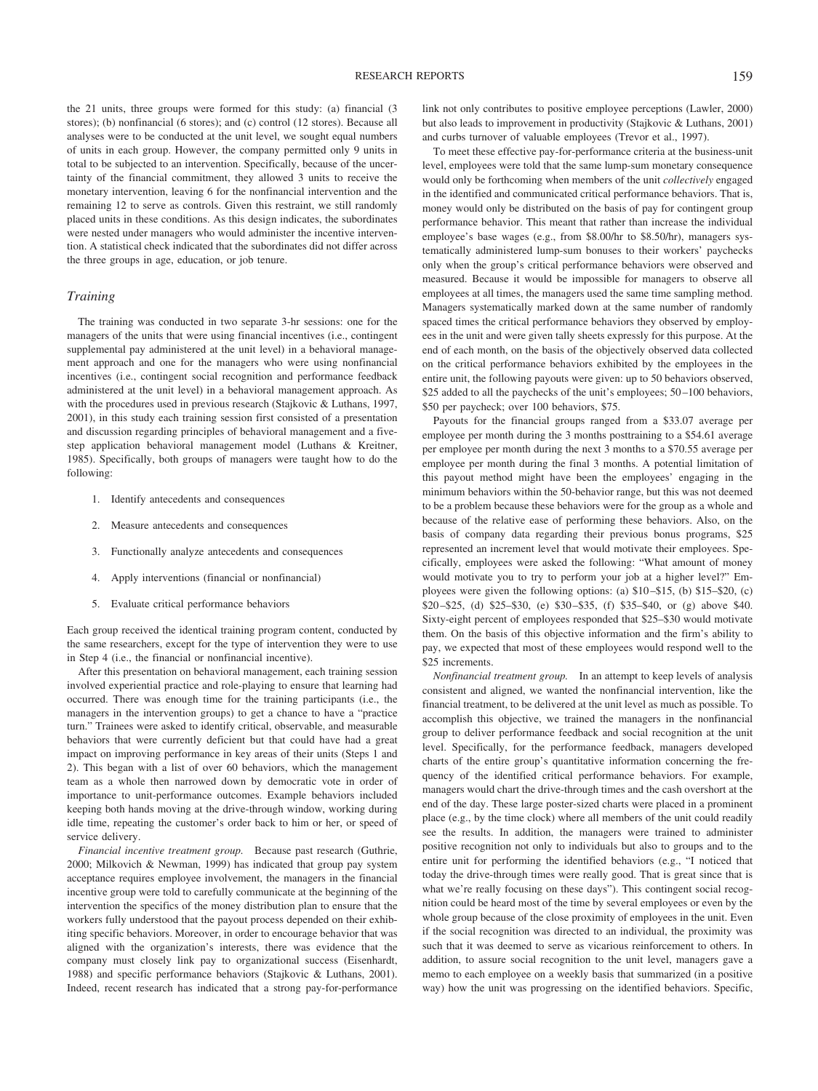the 21 units, three groups were formed for this study: (a) financial (3 stores); (b) nonfinancial (6 stores); and (c) control (12 stores). Because all analyses were to be conducted at the unit level, we sought equal numbers of units in each group. However, the company permitted only 9 units in total to be subjected to an intervention. Specifically, because of the uncertainty of the financial commitment, they allowed 3 units to receive the monetary intervention, leaving 6 for the nonfinancial intervention and the remaining 12 to serve as controls. Given this restraint, we still randomly placed units in these conditions. As this design indicates, the subordinates were nested under managers who would administer the incentive intervention. A statistical check indicated that the subordinates did not differ across the three groups in age, education, or job tenure.

#### *Training*

The training was conducted in two separate 3-hr sessions: one for the managers of the units that were using financial incentives (i.e., contingent supplemental pay administered at the unit level) in a behavioral management approach and one for the managers who were using nonfinancial incentives (i.e., contingent social recognition and performance feedback administered at the unit level) in a behavioral management approach. As with the procedures used in previous research (Stajkovic & Luthans, 1997, 2001), in this study each training session first consisted of a presentation and discussion regarding principles of behavioral management and a fivestep application behavioral management model (Luthans & Kreitner, 1985). Specifically, both groups of managers were taught how to do the following:

- 1. Identify antecedents and consequences
- 2. Measure antecedents and consequences
- 3. Functionally analyze antecedents and consequences
- 4. Apply interventions (financial or nonfinancial)
- 5. Evaluate critical performance behaviors

Each group received the identical training program content, conducted by the same researchers, except for the type of intervention they were to use in Step 4 (i.e., the financial or nonfinancial incentive).

After this presentation on behavioral management, each training session involved experiential practice and role-playing to ensure that learning had occurred. There was enough time for the training participants (i.e., the managers in the intervention groups) to get a chance to have a "practice turn." Trainees were asked to identify critical, observable, and measurable behaviors that were currently deficient but that could have had a great impact on improving performance in key areas of their units (Steps 1 and 2). This began with a list of over 60 behaviors, which the management team as a whole then narrowed down by democratic vote in order of importance to unit-performance outcomes. Example behaviors included keeping both hands moving at the drive-through window, working during idle time, repeating the customer's order back to him or her, or speed of service delivery.

*Financial incentive treatment group.* Because past research (Guthrie, 2000; Milkovich & Newman, 1999) has indicated that group pay system acceptance requires employee involvement, the managers in the financial incentive group were told to carefully communicate at the beginning of the intervention the specifics of the money distribution plan to ensure that the workers fully understood that the payout process depended on their exhibiting specific behaviors. Moreover, in order to encourage behavior that was aligned with the organization's interests, there was evidence that the company must closely link pay to organizational success (Eisenhardt, 1988) and specific performance behaviors (Stajkovic & Luthans, 2001). Indeed, recent research has indicated that a strong pay-for-performance link not only contributes to positive employee perceptions (Lawler, 2000) but also leads to improvement in productivity (Stajkovic & Luthans, 2001) and curbs turnover of valuable employees (Trevor et al., 1997).

To meet these effective pay-for-performance criteria at the business-unit level, employees were told that the same lump-sum monetary consequence would only be forthcoming when members of the unit *collectively* engaged in the identified and communicated critical performance behaviors. That is, money would only be distributed on the basis of pay for contingent group performance behavior. This meant that rather than increase the individual employee's base wages (e.g., from \$8.00/hr to \$8.50/hr), managers systematically administered lump-sum bonuses to their workers' paychecks only when the group's critical performance behaviors were observed and measured. Because it would be impossible for managers to observe all employees at all times, the managers used the same time sampling method. Managers systematically marked down at the same number of randomly spaced times the critical performance behaviors they observed by employees in the unit and were given tally sheets expressly for this purpose. At the end of each month, on the basis of the objectively observed data collected on the critical performance behaviors exhibited by the employees in the entire unit, the following payouts were given: up to 50 behaviors observed, \$25 added to all the paychecks of the unit's employees; 50–100 behaviors, \$50 per paycheck; over 100 behaviors, \$75.

Payouts for the financial groups ranged from a \$33.07 average per employee per month during the 3 months posttraining to a \$54.61 average per employee per month during the next 3 months to a \$70.55 average per employee per month during the final 3 months. A potential limitation of this payout method might have been the employees' engaging in the minimum behaviors within the 50-behavior range, but this was not deemed to be a problem because these behaviors were for the group as a whole and because of the relative ease of performing these behaviors. Also, on the basis of company data regarding their previous bonus programs, \$25 represented an increment level that would motivate their employees. Specifically, employees were asked the following: "What amount of money would motivate you to try to perform your job at a higher level?" Employees were given the following options: (a) \$10 –\$15, (b) \$15–\$20, (c) \$20 –\$25, (d) \$25–\$30, (e) \$30 –\$35, (f) \$35–\$40, or (g) above \$40. Sixty-eight percent of employees responded that \$25–\$30 would motivate them. On the basis of this objective information and the firm's ability to pay, we expected that most of these employees would respond well to the \$25 increments.

*Nonfinancial treatment group.* In an attempt to keep levels of analysis consistent and aligned, we wanted the nonfinancial intervention, like the financial treatment, to be delivered at the unit level as much as possible. To accomplish this objective, we trained the managers in the nonfinancial group to deliver performance feedback and social recognition at the unit level. Specifically, for the performance feedback, managers developed charts of the entire group's quantitative information concerning the frequency of the identified critical performance behaviors. For example, managers would chart the drive-through times and the cash overshort at the end of the day. These large poster-sized charts were placed in a prominent place (e.g., by the time clock) where all members of the unit could readily see the results. In addition, the managers were trained to administer positive recognition not only to individuals but also to groups and to the entire unit for performing the identified behaviors (e.g., "I noticed that today the drive-through times were really good. That is great since that is what we're really focusing on these days"). This contingent social recognition could be heard most of the time by several employees or even by the whole group because of the close proximity of employees in the unit. Even if the social recognition was directed to an individual, the proximity was such that it was deemed to serve as vicarious reinforcement to others. In addition, to assure social recognition to the unit level, managers gave a memo to each employee on a weekly basis that summarized (in a positive way) how the unit was progressing on the identified behaviors. Specific,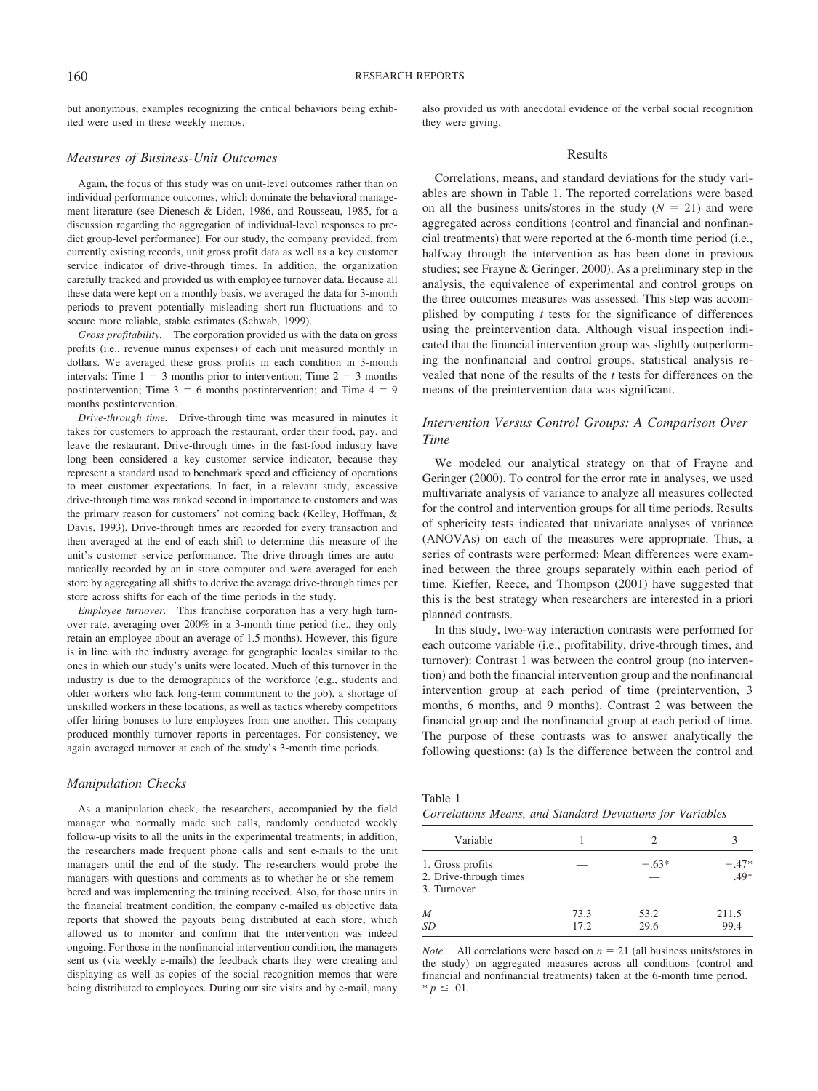but anonymous, examples recognizing the critical behaviors being exhibited were used in these weekly memos.

#### *Measures of Business-Unit Outcomes*

Again, the focus of this study was on unit-level outcomes rather than on individual performance outcomes, which dominate the behavioral management literature (see Dienesch & Liden, 1986, and Rousseau, 1985, for a discussion regarding the aggregation of individual-level responses to predict group-level performance). For our study, the company provided, from currently existing records, unit gross profit data as well as a key customer service indicator of drive-through times. In addition, the organization carefully tracked and provided us with employee turnover data. Because all these data were kept on a monthly basis, we averaged the data for 3-month periods to prevent potentially misleading short-run fluctuations and to secure more reliable, stable estimates (Schwab, 1999).

*Gross profitability.* The corporation provided us with the data on gross profits (i.e., revenue minus expenses) of each unit measured monthly in dollars. We averaged these gross profits in each condition in 3-month intervals: Time  $1 = 3$  months prior to intervention; Time  $2 = 3$  months postintervention; Time  $3 = 6$  months postintervention; and Time  $4 = 9$ months postintervention.

*Drive-through time.* Drive-through time was measured in minutes it takes for customers to approach the restaurant, order their food, pay, and leave the restaurant. Drive-through times in the fast-food industry have long been considered a key customer service indicator, because they represent a standard used to benchmark speed and efficiency of operations to meet customer expectations. In fact, in a relevant study, excessive drive-through time was ranked second in importance to customers and was the primary reason for customers' not coming back (Kelley, Hoffman, & Davis, 1993). Drive-through times are recorded for every transaction and then averaged at the end of each shift to determine this measure of the unit's customer service performance. The drive-through times are automatically recorded by an in-store computer and were averaged for each store by aggregating all shifts to derive the average drive-through times per store across shifts for each of the time periods in the study.

*Employee turnover.* This franchise corporation has a very high turnover rate, averaging over 200% in a 3-month time period (i.e., they only retain an employee about an average of 1.5 months). However, this figure is in line with the industry average for geographic locales similar to the ones in which our study's units were located. Much of this turnover in the industry is due to the demographics of the workforce (e.g., students and older workers who lack long-term commitment to the job), a shortage of unskilled workers in these locations, as well as tactics whereby competitors offer hiring bonuses to lure employees from one another. This company produced monthly turnover reports in percentages. For consistency, we again averaged turnover at each of the study's 3-month time periods.

#### *Manipulation Checks*

As a manipulation check, the researchers, accompanied by the field manager who normally made such calls, randomly conducted weekly follow-up visits to all the units in the experimental treatments; in addition, the researchers made frequent phone calls and sent e-mails to the unit managers until the end of the study. The researchers would probe the managers with questions and comments as to whether he or she remembered and was implementing the training received. Also, for those units in the financial treatment condition, the company e-mailed us objective data reports that showed the payouts being distributed at each store, which allowed us to monitor and confirm that the intervention was indeed ongoing. For those in the nonfinancial intervention condition, the managers sent us (via weekly e-mails) the feedback charts they were creating and displaying as well as copies of the social recognition memos that were being distributed to employees. During our site visits and by e-mail, many also provided us with anecdotal evidence of the verbal social recognition they were giving.

#### Results

Correlations, means, and standard deviations for the study variables are shown in Table 1. The reported correlations were based on all the business units/stores in the study  $(N = 21)$  and were aggregated across conditions (control and financial and nonfinancial treatments) that were reported at the 6-month time period (i.e., halfway through the intervention as has been done in previous studies; see Frayne & Geringer, 2000). As a preliminary step in the analysis, the equivalence of experimental and control groups on the three outcomes measures was assessed. This step was accomplished by computing *t* tests for the significance of differences using the preintervention data. Although visual inspection indicated that the financial intervention group was slightly outperforming the nonfinancial and control groups, statistical analysis revealed that none of the results of the *t* tests for differences on the means of the preintervention data was significant.

### *Intervention Versus Control Groups: A Comparison Over Time*

We modeled our analytical strategy on that of Frayne and Geringer (2000). To control for the error rate in analyses, we used multivariate analysis of variance to analyze all measures collected for the control and intervention groups for all time periods. Results of sphericity tests indicated that univariate analyses of variance (ANOVAs) on each of the measures were appropriate. Thus, a series of contrasts were performed: Mean differences were examined between the three groups separately within each period of time. Kieffer, Reece, and Thompson (2001) have suggested that this is the best strategy when researchers are interested in a priori planned contrasts.

In this study, two-way interaction contrasts were performed for each outcome variable (i.e., profitability, drive-through times, and turnover): Contrast 1 was between the control group (no intervention) and both the financial intervention group and the nonfinancial intervention group at each period of time (preintervention, 3 months, 6 months, and 9 months). Contrast 2 was between the financial group and the nonfinancial group at each period of time. The purpose of these contrasts was to answer analytically the following questions: (a) Is the difference between the control and

|--|--|

| Correlations Means, and Standard Deviations for Variables |  |  |  |  |  |  |
|-----------------------------------------------------------|--|--|--|--|--|--|
|-----------------------------------------------------------|--|--|--|--|--|--|

| Variable                                                  |              | 2            |                   |
|-----------------------------------------------------------|--------------|--------------|-------------------|
| 1. Gross profits<br>2. Drive-through times<br>3. Turnover |              | $-.63*$      | $-.47*$<br>$.49*$ |
| M<br>SD                                                   | 73.3<br>17.2 | 53.2<br>29.6 | 211.5<br>99.4     |

*Note.* All correlations were based on  $n = 21$  (all business units/stores in the study) on aggregated measures across all conditions (control and financial and nonfinancial treatments) taken at the 6-month time period.  $* p \le .01$ .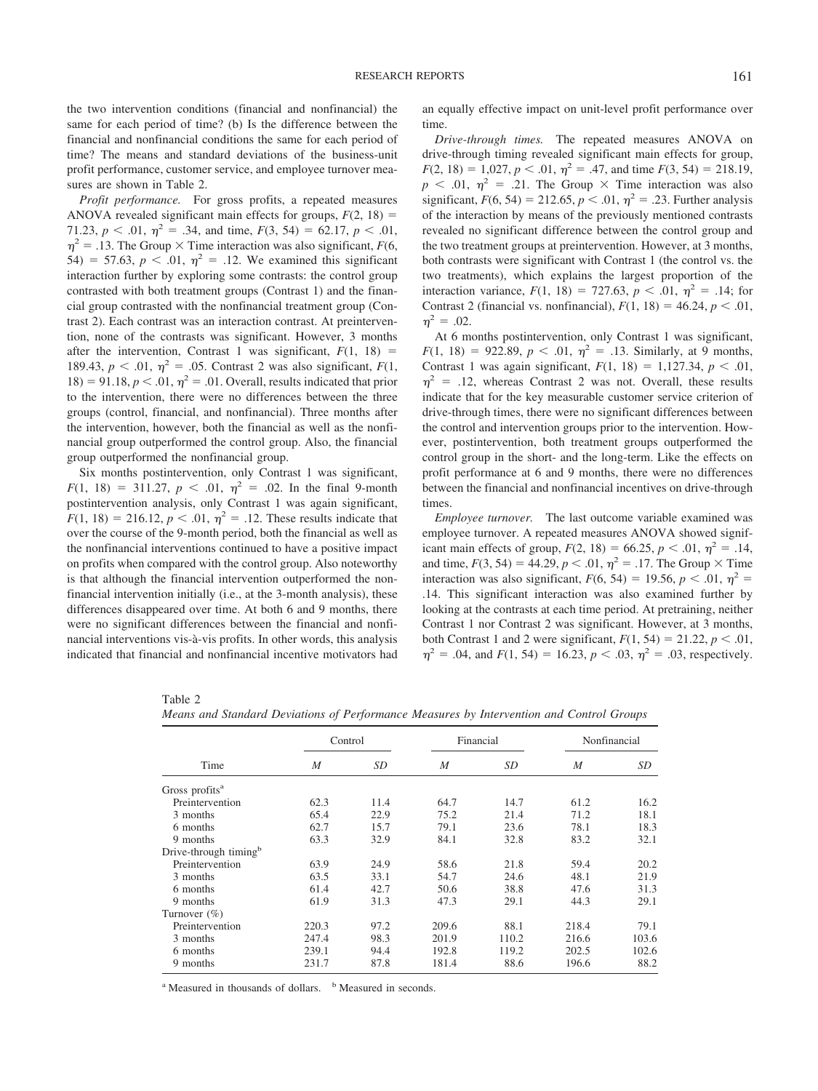the two intervention conditions (financial and nonfinancial) the same for each period of time? (b) Is the difference between the financial and nonfinancial conditions the same for each period of time? The means and standard deviations of the business-unit profit performance, customer service, and employee turnover measures are shown in Table 2.

*Profit performance.* For gross profits, a repeated measures ANOVA revealed significant main effects for groups,  $F(2, 18) =$ 71.23,  $p < .01$ ,  $\eta^2 = .34$ , and time,  $F(3, 54) = 62.17$ ,  $p < .01$ ,  $\eta^2$  = .13. The Group  $\times$  Time interaction was also significant, *F*(6, 54) = 57.63,  $p < .01$ ,  $\eta^2 = .12$ . We examined this significant interaction further by exploring some contrasts: the control group contrasted with both treatment groups (Contrast 1) and the financial group contrasted with the nonfinancial treatment group (Contrast 2). Each contrast was an interaction contrast. At preintervention, none of the contrasts was significant. However, 3 months after the intervention, Contrast 1 was significant,  $F(1, 18)$  = 189.43,  $p < .01$ ,  $\eta^2 = .05$ . Contrast 2 was also significant,  $F(1, 0)$  $18$ ) = 91.18,  $p < .01$ ,  $\eta^2 = .01$ . Overall, results indicated that prior to the intervention, there were no differences between the three groups (control, financial, and nonfinancial). Three months after the intervention, however, both the financial as well as the nonfinancial group outperformed the control group. Also, the financial group outperformed the nonfinancial group.

Six months postintervention, only Contrast 1 was significant,  $F(1, 18) = 311.27, p < .01, \eta^2 = .02$ . In the final 9-month postintervention analysis, only Contrast 1 was again significant,  $F(1, 18) = 216.12, p < .01, \eta^2 = .12$ . These results indicate that over the course of the 9-month period, both the financial as well as the nonfinancial interventions continued to have a positive impact on profits when compared with the control group. Also noteworthy is that although the financial intervention outperformed the nonfinancial intervention initially (i.e., at the 3-month analysis), these differences disappeared over time. At both 6 and 9 months, there were no significant differences between the financial and nonfinancial interventions vis-à-vis profits. In other words, this analysis indicated that financial and nonfinancial incentive motivators had an equally effective impact on unit-level profit performance over time.

*Drive-through times.* The repeated measures ANOVA on drive-through timing revealed significant main effects for group,  $F(2, 18) = 1,027, p < .01, \eta^2 = .47$ , and time  $F(3, 54) = 218.19$ ,  $p \leq 0.01$ ,  $\eta^2 = 0.21$ . The Group  $\times$  Time interaction was also significant,  $F(6, 54) = 212.65$ ,  $p < .01$ ,  $p^2 = .23$ . Further analysis of the interaction by means of the previously mentioned contrasts revealed no significant difference between the control group and the two treatment groups at preintervention. However, at 3 months, both contrasts were significant with Contrast 1 (the control vs. the two treatments), which explains the largest proportion of the interaction variance,  $F(1, 18) = 727.63$ ,  $p < .01$ ,  $\eta^2 = .14$ ; for Contrast 2 (financial vs. nonfinancial),  $F(1, 18) = 46.24, p < .01$ ,  $\eta^2 = .02$ .

At 6 months postintervention, only Contrast 1 was significant,  $F(1, 18) = 922.89, p < .01, \eta^2 = .13$ . Similarly, at 9 months, Contrast 1 was again significant,  $F(1, 18) = 1,127.34, p < .01$ ,  $\eta^2$  = .12, whereas Contrast 2 was not. Overall, these results indicate that for the key measurable customer service criterion of drive-through times, there were no significant differences between the control and intervention groups prior to the intervention. However, postintervention, both treatment groups outperformed the control group in the short- and the long-term. Like the effects on profit performance at 6 and 9 months, there were no differences between the financial and nonfinancial incentives on drive-through times.

*Employee turnover.* The last outcome variable examined was employee turnover. A repeated measures ANOVA showed significant main effects of group,  $F(2, 18) = 66.25$ ,  $p < .01$ ,  $\eta^2 = .14$ , and time,  $F(3, 54) = 44.29$ ,  $p < .01$ ,  $p^2 = .17$ . The Group  $\times$  Time interaction was also significant,  $F(6, 54) = 19.56$ ,  $p < .01$ ,  $\eta^2 =$ .14. This significant interaction was also examined further by looking at the contrasts at each time period. At pretraining, neither Contrast 1 nor Contrast 2 was significant. However, at 3 months, both Contrast 1 and 2 were significant,  $F(1, 54) = 21.22$ ,  $p < .01$ ,  $\eta^2 = .04$ , and  $F(1, 54) = 16.23$ ,  $p < .03$ ,  $\eta^2 = .03$ , respectively.

|--|--|

*Means and Standard Deviations of Performance Measures by Intervention and Control Groups*

| Time                              | Control |      |       | Financial | Nonfinancial |       |
|-----------------------------------|---------|------|-------|-----------|--------------|-------|
|                                   | M       | SD   | M     | SD        | M            | SD    |
| Gross profits <sup>a</sup>        |         |      |       |           |              |       |
| Preintervention                   | 62.3    | 11.4 | 64.7  | 14.7      | 61.2         | 16.2  |
| 3 months                          | 65.4    | 22.9 | 75.2  | 21.4      | 71.2         | 18.1  |
| 6 months                          | 62.7    | 15.7 | 79.1  | 23.6      | 78.1         | 18.3  |
| 9 months                          | 63.3    | 32.9 | 84.1  | 32.8      | 83.2         | 32.1  |
| Drive-through timing <sup>b</sup> |         |      |       |           |              |       |
| Preintervention                   | 63.9    | 24.9 | 58.6  | 21.8      | 59.4         | 20.2  |
| 3 months                          | 63.5    | 33.1 | 54.7  | 24.6      | 48.1         | 21.9  |
| 6 months                          | 61.4    | 42.7 | 50.6  | 38.8      | 47.6         | 31.3  |
| 9 months                          | 61.9    | 31.3 | 47.3  | 29.1      | 44.3         | 29.1  |
| Turnover $(\% )$                  |         |      |       |           |              |       |
| Preintervention                   | 220.3   | 97.2 | 209.6 | 88.1      | 218.4        | 79.1  |
| 3 months                          | 247.4   | 98.3 | 201.9 | 110.2     | 216.6        | 103.6 |
| 6 months                          | 239.1   | 94.4 | 192.8 | 119.2     | 202.5        | 102.6 |
| 9 months                          | 231.7   | 87.8 | 181.4 | 88.6      | 196.6        | 88.2  |

<sup>a</sup> Measured in thousands of dollars. <sup>b</sup> Measured in seconds.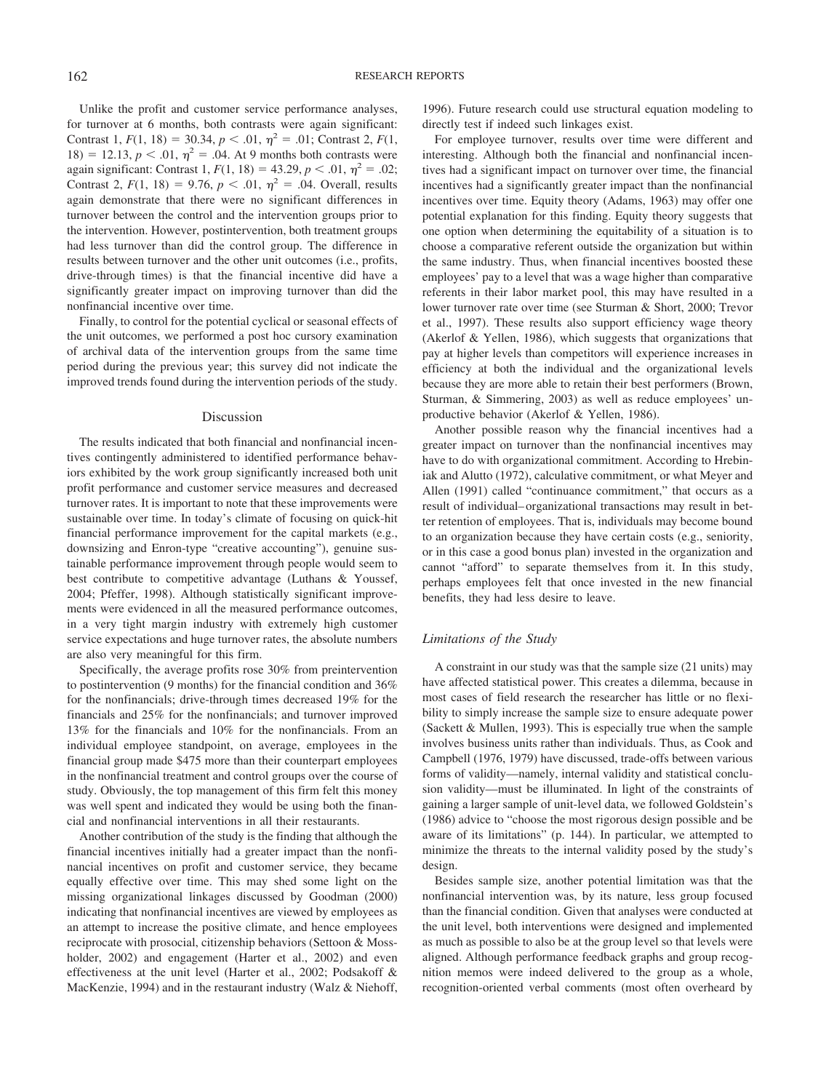Unlike the profit and customer service performance analyses, for turnover at 6 months, both contrasts were again significant: Contrast 1,  $F(1, 18) = 30.34, p < .01, \eta^2 = .01$ ; Contrast 2,  $F(1, 18) = 30.34, p < .01, \eta^2 = .01$ ; 18) = 12.13,  $p < .01$ ,  $\eta^2 = .04$ . At 9 months both contrasts were again significant: Contrast 1,  $F(1, 18) = 43.29, p < .01, \eta^2 = .02;$ Contrast 2,  $F(1, 18) = 9.76$ ,  $p < .01$ ,  $\eta^2 = .04$ . Overall, results again demonstrate that there were no significant differences in turnover between the control and the intervention groups prior to the intervention. However, postintervention, both treatment groups had less turnover than did the control group. The difference in results between turnover and the other unit outcomes (i.e., profits, drive-through times) is that the financial incentive did have a significantly greater impact on improving turnover than did the nonfinancial incentive over time.

Finally, to control for the potential cyclical or seasonal effects of the unit outcomes, we performed a post hoc cursory examination of archival data of the intervention groups from the same time period during the previous year; this survey did not indicate the improved trends found during the intervention periods of the study.

#### Discussion

The results indicated that both financial and nonfinancial incentives contingently administered to identified performance behaviors exhibited by the work group significantly increased both unit profit performance and customer service measures and decreased turnover rates. It is important to note that these improvements were sustainable over time. In today's climate of focusing on quick-hit financial performance improvement for the capital markets (e.g., downsizing and Enron-type "creative accounting"), genuine sustainable performance improvement through people would seem to best contribute to competitive advantage (Luthans & Youssef, 2004; Pfeffer, 1998). Although statistically significant improvements were evidenced in all the measured performance outcomes, in a very tight margin industry with extremely high customer service expectations and huge turnover rates, the absolute numbers are also very meaningful for this firm.

Specifically, the average profits rose 30% from preintervention to postintervention (9 months) for the financial condition and 36% for the nonfinancials; drive-through times decreased 19% for the financials and 25% for the nonfinancials; and turnover improved 13% for the financials and 10% for the nonfinancials. From an individual employee standpoint, on average, employees in the financial group made \$475 more than their counterpart employees in the nonfinancial treatment and control groups over the course of study. Obviously, the top management of this firm felt this money was well spent and indicated they would be using both the financial and nonfinancial interventions in all their restaurants.

Another contribution of the study is the finding that although the financial incentives initially had a greater impact than the nonfinancial incentives on profit and customer service, they became equally effective over time. This may shed some light on the missing organizational linkages discussed by Goodman (2000) indicating that nonfinancial incentives are viewed by employees as an attempt to increase the positive climate, and hence employees reciprocate with prosocial, citizenship behaviors (Settoon & Mossholder, 2002) and engagement (Harter et al., 2002) and even effectiveness at the unit level (Harter et al., 2002; Podsakoff & MacKenzie, 1994) and in the restaurant industry (Walz & Niehoff, 1996). Future research could use structural equation modeling to directly test if indeed such linkages exist.

For employee turnover, results over time were different and interesting. Although both the financial and nonfinancial incentives had a significant impact on turnover over time, the financial incentives had a significantly greater impact than the nonfinancial incentives over time. Equity theory (Adams, 1963) may offer one potential explanation for this finding. Equity theory suggests that one option when determining the equitability of a situation is to choose a comparative referent outside the organization but within the same industry. Thus, when financial incentives boosted these employees' pay to a level that was a wage higher than comparative referents in their labor market pool, this may have resulted in a lower turnover rate over time (see Sturman & Short, 2000; Trevor et al., 1997). These results also support efficiency wage theory (Akerlof & Yellen, 1986), which suggests that organizations that pay at higher levels than competitors will experience increases in efficiency at both the individual and the organizational levels because they are more able to retain their best performers (Brown, Sturman, & Simmering, 2003) as well as reduce employees' unproductive behavior (Akerlof & Yellen, 1986).

Another possible reason why the financial incentives had a greater impact on turnover than the nonfinancial incentives may have to do with organizational commitment. According to Hrebiniak and Alutto (1972), calculative commitment, or what Meyer and Allen (1991) called "continuance commitment," that occurs as a result of individual– organizational transactions may result in better retention of employees. That is, individuals may become bound to an organization because they have certain costs (e.g., seniority, or in this case a good bonus plan) invested in the organization and cannot "afford" to separate themselves from it. In this study, perhaps employees felt that once invested in the new financial benefits, they had less desire to leave.

#### *Limitations of the Study*

A constraint in our study was that the sample size (21 units) may have affected statistical power. This creates a dilemma, because in most cases of field research the researcher has little or no flexibility to simply increase the sample size to ensure adequate power (Sackett & Mullen, 1993). This is especially true when the sample involves business units rather than individuals. Thus, as Cook and Campbell (1976, 1979) have discussed, trade-offs between various forms of validity—namely, internal validity and statistical conclusion validity—must be illuminated. In light of the constraints of gaining a larger sample of unit-level data, we followed Goldstein's (1986) advice to "choose the most rigorous design possible and be aware of its limitations" (p. 144). In particular, we attempted to minimize the threats to the internal validity posed by the study's design.

Besides sample size, another potential limitation was that the nonfinancial intervention was, by its nature, less group focused than the financial condition. Given that analyses were conducted at the unit level, both interventions were designed and implemented as much as possible to also be at the group level so that levels were aligned. Although performance feedback graphs and group recognition memos were indeed delivered to the group as a whole, recognition-oriented verbal comments (most often overheard by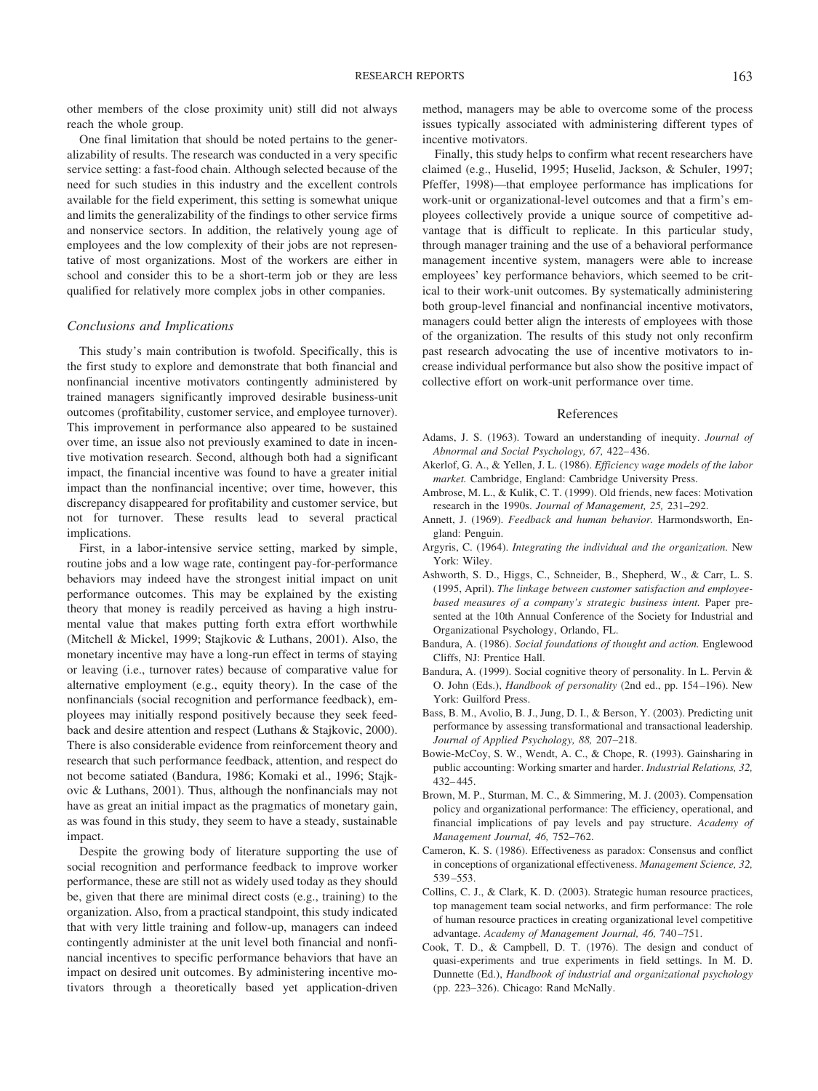other members of the close proximity unit) still did not always reach the whole group.

One final limitation that should be noted pertains to the generalizability of results. The research was conducted in a very specific service setting: a fast-food chain. Although selected because of the need for such studies in this industry and the excellent controls available for the field experiment, this setting is somewhat unique and limits the generalizability of the findings to other service firms and nonservice sectors. In addition, the relatively young age of employees and the low complexity of their jobs are not representative of most organizations. Most of the workers are either in school and consider this to be a short-term job or they are less qualified for relatively more complex jobs in other companies.

#### *Conclusions and Implications*

This study's main contribution is twofold. Specifically, this is the first study to explore and demonstrate that both financial and nonfinancial incentive motivators contingently administered by trained managers significantly improved desirable business-unit outcomes (profitability, customer service, and employee turnover). This improvement in performance also appeared to be sustained over time, an issue also not previously examined to date in incentive motivation research. Second, although both had a significant impact, the financial incentive was found to have a greater initial impact than the nonfinancial incentive; over time, however, this discrepancy disappeared for profitability and customer service, but not for turnover. These results lead to several practical implications.

First, in a labor-intensive service setting, marked by simple, routine jobs and a low wage rate, contingent pay-for-performance behaviors may indeed have the strongest initial impact on unit performance outcomes. This may be explained by the existing theory that money is readily perceived as having a high instrumental value that makes putting forth extra effort worthwhile (Mitchell & Mickel, 1999; Stajkovic & Luthans, 2001). Also, the monetary incentive may have a long-run effect in terms of staying or leaving (i.e., turnover rates) because of comparative value for alternative employment (e.g., equity theory). In the case of the nonfinancials (social recognition and performance feedback), employees may initially respond positively because they seek feedback and desire attention and respect (Luthans & Stajkovic, 2000). There is also considerable evidence from reinforcement theory and research that such performance feedback, attention, and respect do not become satiated (Bandura, 1986; Komaki et al., 1996; Stajkovic & Luthans, 2001). Thus, although the nonfinancials may not have as great an initial impact as the pragmatics of monetary gain, as was found in this study, they seem to have a steady, sustainable impact.

Despite the growing body of literature supporting the use of social recognition and performance feedback to improve worker performance, these are still not as widely used today as they should be, given that there are minimal direct costs (e.g., training) to the organization. Also, from a practical standpoint, this study indicated that with very little training and follow-up, managers can indeed contingently administer at the unit level both financial and nonfinancial incentives to specific performance behaviors that have an impact on desired unit outcomes. By administering incentive motivators through a theoretically based yet application-driven

method, managers may be able to overcome some of the process issues typically associated with administering different types of incentive motivators.

Finally, this study helps to confirm what recent researchers have claimed (e.g., Huselid, 1995; Huselid, Jackson, & Schuler, 1997; Pfeffer, 1998)—that employee performance has implications for work-unit or organizational-level outcomes and that a firm's employees collectively provide a unique source of competitive advantage that is difficult to replicate. In this particular study, through manager training and the use of a behavioral performance management incentive system, managers were able to increase employees' key performance behaviors, which seemed to be critical to their work-unit outcomes. By systematically administering both group-level financial and nonfinancial incentive motivators, managers could better align the interests of employees with those of the organization. The results of this study not only reconfirm past research advocating the use of incentive motivators to increase individual performance but also show the positive impact of collective effort on work-unit performance over time.

#### References

- Adams, J. S. (1963). Toward an understanding of inequity. *Journal of Abnormal and Social Psychology, 67,* 422– 436.
- Akerlof, G. A., & Yellen, J. L. (1986). *Efficiency wage models of the labor market.* Cambridge, England: Cambridge University Press.
- Ambrose, M. L., & Kulik, C. T. (1999). Old friends, new faces: Motivation research in the 1990s. *Journal of Management, 25,* 231–292.
- Annett, J. (1969). *Feedback and human behavior.* Harmondsworth, England: Penguin.
- Argyris, C. (1964). *Integrating the individual and the organization.* New York: Wiley.
- Ashworth, S. D., Higgs, C., Schneider, B., Shepherd, W., & Carr, L. S. (1995, April). *The linkage between customer satisfaction and employeebased measures of a company's strategic business intent.* Paper presented at the 10th Annual Conference of the Society for Industrial and Organizational Psychology, Orlando, FL.
- Bandura, A. (1986). *Social foundations of thought and action.* Englewood Cliffs, NJ: Prentice Hall.
- Bandura, A. (1999). Social cognitive theory of personality. In L. Pervin & O. John (Eds.), *Handbook of personality* (2nd ed., pp. 154 –196). New York: Guilford Press.
- Bass, B. M., Avolio, B. J., Jung, D. I., & Berson, Y. (2003). Predicting unit performance by assessing transformational and transactional leadership. *Journal of Applied Psychology, 88,* 207–218.
- Bowie-McCoy, S. W., Wendt, A. C., & Chope, R. (1993). Gainsharing in public accounting: Working smarter and harder. *Industrial Relations, 32,* 432– 445.
- Brown, M. P., Sturman, M. C., & Simmering, M. J. (2003). Compensation policy and organizational performance: The efficiency, operational, and financial implications of pay levels and pay structure. *Academy of Management Journal, 46,* 752–762.
- Cameron, K. S. (1986). Effectiveness as paradox: Consensus and conflict in conceptions of organizational effectiveness. *Management Science, 32,* 539 –553.
- Collins, C. J., & Clark, K. D. (2003). Strategic human resource practices, top management team social networks, and firm performance: The role of human resource practices in creating organizational level competitive advantage. Academy of Management Journal, 46, 740-751.
- Cook, T. D., & Campbell, D. T. (1976). The design and conduct of quasi-experiments and true experiments in field settings. In M. D. Dunnette (Ed.), *Handbook of industrial and organizational psychology* (pp. 223–326). Chicago: Rand McNally.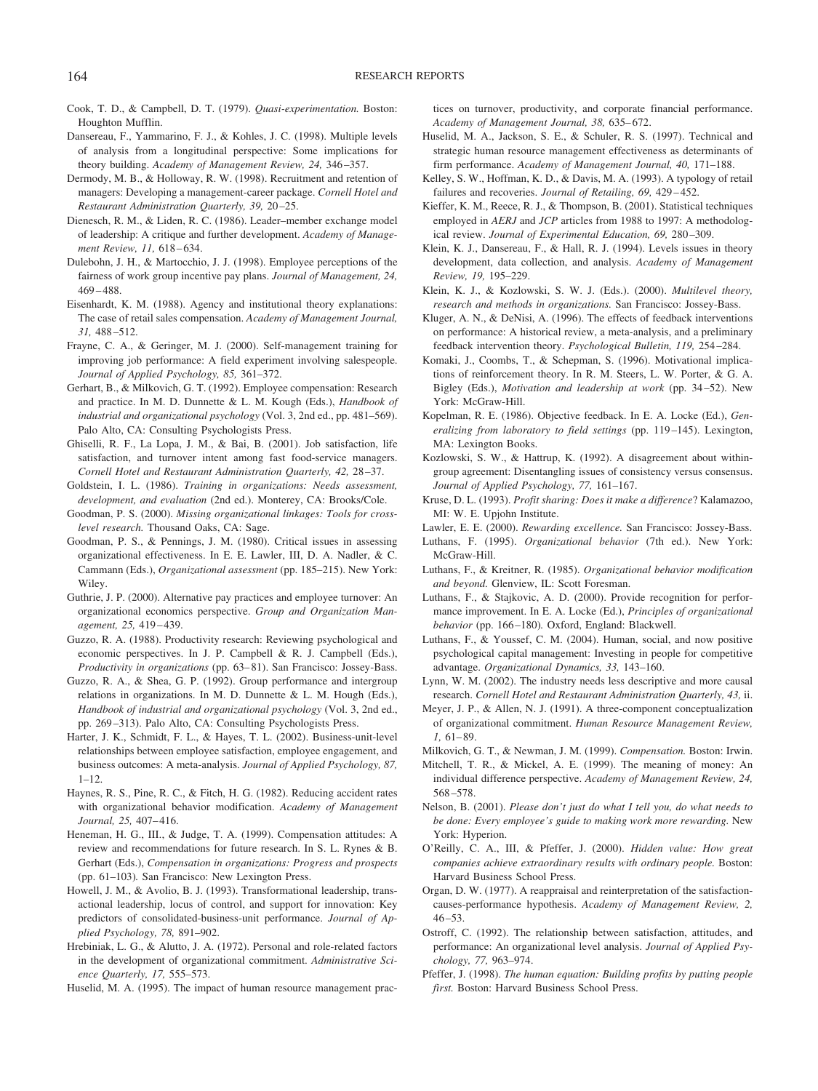Cook, T. D., & Campbell, D. T. (1979). *Quasi-experimentation.* Boston: Houghton Mufflin.

- Dansereau, F., Yammarino, F. J., & Kohles, J. C. (1998). Multiple levels of analysis from a longitudinal perspective: Some implications for theory building. *Academy of Management Review, 24,* 346 –357.
- Dermody, M. B., & Holloway, R. W. (1998). Recruitment and retention of managers: Developing a management-career package. *Cornell Hotel and Restaurant Administration Quarterly, 39,* 20 –25.
- Dienesch, R. M., & Liden, R. C. (1986). Leader–member exchange model of leadership: A critique and further development. *Academy of Management Review, 11,* 618 – 634.
- Dulebohn, J. H., & Martocchio, J. J. (1998). Employee perceptions of the fairness of work group incentive pay plans. *Journal of Management, 24,*  $469 - 488.$
- Eisenhardt, K. M. (1988). Agency and institutional theory explanations: The case of retail sales compensation. *Academy of Management Journal, 31,* 488 –512.
- Frayne, C. A., & Geringer, M. J. (2000). Self-management training for improving job performance: A field experiment involving salespeople. *Journal of Applied Psychology, 85,* 361–372.
- Gerhart, B., & Milkovich, G. T. (1992). Employee compensation: Research and practice. In M. D. Dunnette & L. M. Kough (Eds.), *Handbook of industrial and organizational psychology* (Vol. 3, 2nd ed., pp. 481–569). Palo Alto, CA: Consulting Psychologists Press.
- Ghiselli, R. F., La Lopa, J. M., & Bai, B. (2001). Job satisfaction, life satisfaction, and turnover intent among fast food-service managers. *Cornell Hotel and Restaurant Administration Quarterly, 42,* 28 –37.
- Goldstein, I. L. (1986). *Training in organizations: Needs assessment, development, and evaluation* (2nd ed.). Monterey, CA: Brooks/Cole.
- Goodman, P. S. (2000). *Missing organizational linkages: Tools for crosslevel research.* Thousand Oaks, CA: Sage.
- Goodman, P. S., & Pennings, J. M. (1980). Critical issues in assessing organizational effectiveness. In E. E. Lawler, III, D. A. Nadler, & C. Cammann (Eds.), *Organizational assessment* (pp. 185–215). New York: Wiley.
- Guthrie, J. P. (2000). Alternative pay practices and employee turnover: An organizational economics perspective. *Group and Organization Management, 25,* 419 – 439.
- Guzzo, R. A. (1988). Productivity research: Reviewing psychological and economic perspectives. In J. P. Campbell & R. J. Campbell (Eds.), *Productivity in organizations* (pp. 63– 81). San Francisco: Jossey-Bass.
- Guzzo, R. A., & Shea, G. P. (1992). Group performance and intergroup relations in organizations. In M. D. Dunnette & L. M. Hough (Eds.), *Handbook of industrial and organizational psychology* (Vol. 3, 2nd ed., pp. 269 –313). Palo Alto, CA: Consulting Psychologists Press.
- Harter, J. K., Schmidt, F. L., & Hayes, T. L. (2002). Business-unit-level relationships between employee satisfaction, employee engagement, and business outcomes: A meta-analysis. *Journal of Applied Psychology, 87,*  $1 - 12$ .
- Haynes, R. S., Pine, R. C., & Fitch, H. G. (1982). Reducing accident rates with organizational behavior modification. *Academy of Management Journal, 25,* 407– 416.
- Heneman, H. G., III., & Judge, T. A. (1999). Compensation attitudes: A review and recommendations for future research. In S. L. Rynes & B. Gerhart (Eds.), *Compensation in organizations: Progress and prospects* (pp. 61–103)*.* San Francisco: New Lexington Press.
- Howell, J. M., & Avolio, B. J. (1993). Transformational leadership, transactional leadership, locus of control, and support for innovation: Key predictors of consolidated-business-unit performance. *Journal of Applied Psychology, 78,* 891–902.
- Hrebiniak, L. G., & Alutto, J. A. (1972). Personal and role-related factors in the development of organizational commitment. *Administrative Science Quarterly, 17,* 555–573.

Huselid, M. A. (1995). The impact of human resource management prac-

tices on turnover, productivity, and corporate financial performance. *Academy of Management Journal, 38,* 635– 672.

- Huselid, M. A., Jackson, S. E., & Schuler, R. S. (1997). Technical and strategic human resource management effectiveness as determinants of firm performance. *Academy of Management Journal, 40,* 171–188.
- Kelley, S. W., Hoffman, K. D., & Davis, M. A. (1993). A typology of retail failures and recoveries. *Journal of Retailing*, 69, 429-452.
- Kieffer, K. M., Reece, R. J., & Thompson, B. (2001). Statistical techniques employed in *AERJ* and *JCP* articles from 1988 to 1997: A methodological review. *Journal of Experimental Education, 69,* 280 –309.
- Klein, K. J., Dansereau, F., & Hall, R. J. (1994). Levels issues in theory development, data collection, and analysis. *Academy of Management Review, 19,* 195–229.
- Klein, K. J., & Kozlowski, S. W. J. (Eds.). (2000). *Multilevel theory, research and methods in organizations.* San Francisco: Jossey-Bass.
- Kluger, A. N., & DeNisi, A. (1996). The effects of feedback interventions on performance: A historical review, a meta-analysis, and a preliminary feedback intervention theory. *Psychological Bulletin, 119,* 254 –284.
- Komaki, J., Coombs, T., & Schepman, S. (1996). Motivational implications of reinforcement theory. In R. M. Steers, L. W. Porter, & G. A. Bigley (Eds.), *Motivation and leadership at work* (pp. 34 –52). New York: McGraw-Hill.
- Kopelman, R. E. (1986). Objective feedback. In E. A. Locke (Ed.), *Generalizing from laboratory to field settings* (pp. 119 –145). Lexington, MA: Lexington Books.
- Kozlowski, S. W., & Hattrup, K. (1992). A disagreement about withingroup agreement: Disentangling issues of consistency versus consensus. *Journal of Applied Psychology, 77,* 161–167.
- Kruse, D. L. (1993). *Profit sharing: Does it make a difference*? Kalamazoo, MI: W. E. Upjohn Institute.
- Lawler, E. E. (2000). *Rewarding excellence.* San Francisco: Jossey-Bass.
- Luthans, F. (1995). *Organizational behavior* (7th ed.). New York: McGraw-Hill.
- Luthans, F., & Kreitner, R. (1985). *Organizational behavior modification and beyond.* Glenview, IL: Scott Foresman.
- Luthans, F., & Stajkovic, A. D. (2000). Provide recognition for performance improvement. In E. A. Locke (Ed.), *Principles of organizational behavior* (pp. 166 –180)*.* Oxford, England: Blackwell.
- Luthans, F., & Youssef, C. M. (2004). Human, social, and now positive psychological capital management: Investing in people for competitive advantage. *Organizational Dynamics, 33,* 143–160.
- Lynn, W. M. (2002). The industry needs less descriptive and more causal research. *Cornell Hotel and Restaurant Administration Quarterly, 43,* ii.
- Meyer, J. P., & Allen, N. J. (1991). A three-component conceptualization of organizational commitment. *Human Resource Management Review, 1,* 61– 89.
- Milkovich, G. T., & Newman, J. M. (1999). *Compensation.* Boston: Irwin.
- Mitchell, T. R., & Mickel, A. E. (1999). The meaning of money: An individual difference perspective. *Academy of Management Review, 24,* 568 –578.
- Nelson, B. (2001). *Please don't just do what I tell you, do what needs to be done: Every employee's guide to making work more rewarding.* New York: Hyperion.
- O'Reilly, C. A., III, & Pfeffer, J. (2000). *Hidden value: How great companies achieve extraordinary results with ordinary people.* Boston: Harvard Business School Press.
- Organ, D. W. (1977). A reappraisal and reinterpretation of the satisfactioncauses-performance hypothesis. *Academy of Management Review, 2,*  $46 - 53$ .
- Ostroff, C. (1992). The relationship between satisfaction, attitudes, and performance: An organizational level analysis. *Journal of Applied Psychology, 77,* 963–974.
- Pfeffer, J. (1998). *The human equation: Building profits by putting people first.* Boston: Harvard Business School Press.